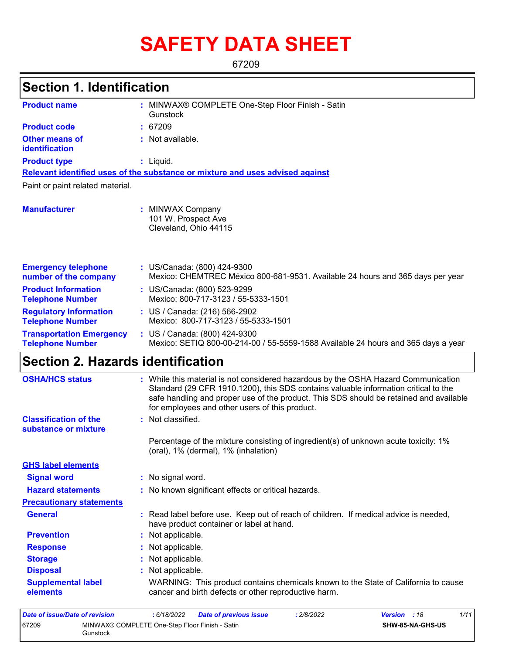# **SAFETY DATA SHEET**

67209

#### MINWAX® COMPLETE One-Step Floor Finish - Satin **: Gunstock** Not available. **:** Liquid. **:** US/Canada: (800) 424-9300 **:** Mexico: CHEMTREC México 800-681-9531. Available 24 hours and 365 days per year **Product name Other means of identification Product type Emergency telephone number of the company Section 1. Identification Manufacturer :** MINWAX Company 101 W. Prospect Ave Cleveland, Ohio 44115 **Relevant identified uses of the substance or mixture and uses advised against** Paint or paint related material. **Product code :** 67209 **Product Information Telephone Number :** US/Canada: (800) 523-9299 Mexico: 800-717-3123 / 55-5333-1501 **Regulatory Information Telephone Number :** US / Canada: (216) 566-2902 Mexico: 800-717-3123 / 55-5333-1501 **Transportation Emergency Telephone Number :** US / Canada: (800) 424-9300 Mexico: SETIQ 800-00-214-00 / 55-5559-1588 Available 24 hours and 365 days a year **Section 2. Hazards identification Classification of the substance or mixture : Signal word :** No signal word. **Precautionary statements Prevention :** Not applicable. **Response :** Not applicable. **Storage :** Not applicable. **Disposal Contract Exercise Exercise :** Not applicable. **GHS label elements** Percentage of the mixture consisting of ingredient(s) of unknown acute toxicity: 1% (oral), 1% (dermal), 1% (inhalation) **General :** Read label before use. Keep out of reach of children. If medical advice is needed, have product container or label at hand. **OSHA/HCS status :** While this material is not considered hazardous by the OSHA Hazard Communication Standard (29 CFR 1910.1200), this SDS contains valuable information critical to the safe handling and proper use of the product. This SDS should be retained and available for employees and other users of this product. **Hazard statements :** No known significant effects or critical hazards. **Supplemental label elements** WARNING: This product contains chemicals known to the State of California to cause cancer and birth defects or other reproductive harm.

| Date of issue/Date of revision |                                                            | : 6/18/2022 | <b>Date of previous issue</b> | : 2/8/2022 | <b>Version</b> : 18 |                         | 1/11 |
|--------------------------------|------------------------------------------------------------|-------------|-------------------------------|------------|---------------------|-------------------------|------|
| 67209                          | MINWAX® COMPLETE One-Step Floor Finish - Satin<br>Gunstock |             |                               |            |                     | <b>SHW-85-NA-GHS-US</b> |      |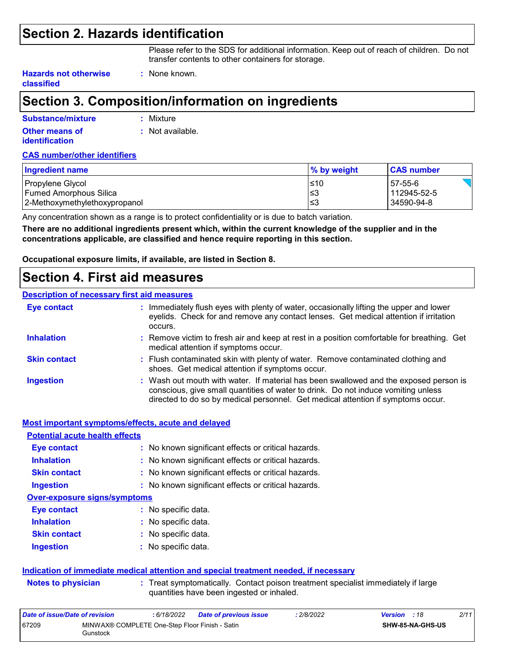### **Section 2. Hazards identification**

Please refer to the SDS for additional information. Keep out of reach of children. Do not transfer contents to other containers for storage.

**Hazards not otherwise classified**

## **Section 3. Composition/information on ingredients**

**:** None known.

| Substance/mixture                              | : Mixture        |
|------------------------------------------------|------------------|
| <b>Other means of</b><br><b>identification</b> | : Not available. |

#### **CAS number/other identifiers**

| Ingredient name                                         | % by weight | <b>CAS number</b>         |
|---------------------------------------------------------|-------------|---------------------------|
| Propylene Glycol                                        | $≤10$       | 57-55-6                   |
| Fumed Amorphous Silica<br>2-Methoxymethylethoxypropanol | ≤3<br>′≤3   | 112945-52-5<br>34590-94-8 |
|                                                         |             |                           |

Any concentration shown as a range is to protect confidentiality or is due to batch variation.

**There are no additional ingredients present which, within the current knowledge of the supplier and in the concentrations applicable, are classified and hence require reporting in this section.**

**Occupational exposure limits, if available, are listed in Section 8.**

### **Section 4. First aid measures**

#### **Description of necessary first aid measures**

| <b>Eye contact</b>  | : Immediately flush eyes with plenty of water, occasionally lifting the upper and lower<br>eyelids. Check for and remove any contact lenses. Get medical attention if irritation<br>occurs.                                                                    |
|---------------------|----------------------------------------------------------------------------------------------------------------------------------------------------------------------------------------------------------------------------------------------------------------|
| <b>Inhalation</b>   | : Remove victim to fresh air and keep at rest in a position comfortable for breathing. Get<br>medical attention if symptoms occur.                                                                                                                             |
| <b>Skin contact</b> | : Flush contaminated skin with plenty of water. Remove contaminated clothing and<br>shoes. Get medical attention if symptoms occur.                                                                                                                            |
| <b>Ingestion</b>    | : Wash out mouth with water. If material has been swallowed and the exposed person is<br>conscious, give small quantities of water to drink. Do not induce vomiting unless<br>directed to do so by medical personnel. Get medical attention if symptoms occur. |

| Most important symptoms/effects, acute and delayed |                                                                                                                                |
|----------------------------------------------------|--------------------------------------------------------------------------------------------------------------------------------|
| <b>Potential acute health effects</b>              |                                                                                                                                |
| Eye contact                                        | : No known significant effects or critical hazards.                                                                            |
| <b>Inhalation</b>                                  | : No known significant effects or critical hazards.                                                                            |
| <b>Skin contact</b>                                | : No known significant effects or critical hazards.                                                                            |
| <b>Ingestion</b>                                   | : No known significant effects or critical hazards.                                                                            |
| <b>Over-exposure signs/symptoms</b>                |                                                                                                                                |
| Eye contact                                        | : No specific data.                                                                                                            |
| <b>Inhalation</b>                                  | : No specific data.                                                                                                            |
| <b>Skin contact</b>                                | : No specific data.                                                                                                            |
| <b>Ingestion</b>                                   | : No specific data.                                                                                                            |
|                                                    | Indication of immediate medical attention and special treatment needed, if necessary                                           |
| <b>Notes to physician</b>                          | : Treat symptomatically. Contact poison treatment specialist immediately if large<br>quantities have been ingested or inhaled. |

| Date of issue/Date of revision |                                                            | : 6/18/2022 | <b>Date of previous issue</b> | 2/8/2022 | <b>Version</b> : 18 |                         | 2/11 |
|--------------------------------|------------------------------------------------------------|-------------|-------------------------------|----------|---------------------|-------------------------|------|
| 67209                          | MINWAX® COMPLETE One-Step Floor Finish - Satin<br>Gunstock |             |                               |          |                     | <b>SHW-85-NA-GHS-US</b> |      |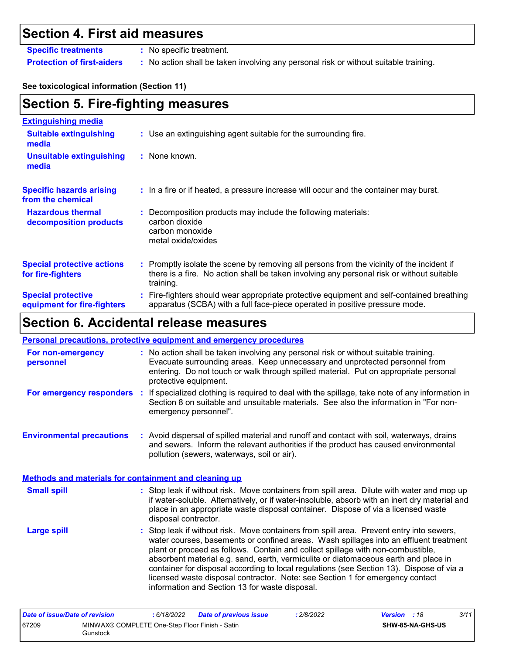## **Section 4. First aid measures**

**Specific treatments :** No specific treatment.

**Protection of first-aiders :** No action shall be taken involving any personal risk or without suitable training.

#### **See toxicological information (Section 11)**

| <b>Section 5. Fire-fighting measures</b>                 |                                                                                                                                                                                                     |  |  |  |  |
|----------------------------------------------------------|-----------------------------------------------------------------------------------------------------------------------------------------------------------------------------------------------------|--|--|--|--|
| <b>Extinguishing media</b>                               |                                                                                                                                                                                                     |  |  |  |  |
| <b>Suitable extinguishing</b><br>media                   | : Use an extinguishing agent suitable for the surrounding fire.                                                                                                                                     |  |  |  |  |
| <b>Unsuitable extinguishing</b><br>media                 | : None known.                                                                                                                                                                                       |  |  |  |  |
| <b>Specific hazards arising</b><br>from the chemical     | : In a fire or if heated, a pressure increase will occur and the container may burst.                                                                                                               |  |  |  |  |
| <b>Hazardous thermal</b><br>decomposition products       | Decomposition products may include the following materials:<br>carbon dioxide<br>carbon monoxide<br>metal oxide/oxides                                                                              |  |  |  |  |
| <b>Special protective actions</b><br>for fire-fighters   | : Promptly isolate the scene by removing all persons from the vicinity of the incident if<br>there is a fire. No action shall be taken involving any personal risk or without suitable<br>training. |  |  |  |  |
| <b>Special protective</b><br>equipment for fire-fighters | : Fire-fighters should wear appropriate protective equipment and self-contained breathing<br>apparatus (SCBA) with a full face-piece operated in positive pressure mode.                            |  |  |  |  |

## **Section 6. Accidental release measures**

#### **Personal precautions, protective equipment and emergency procedures**

| For non-emergency<br>personnel                               |    | : No action shall be taken involving any personal risk or without suitable training.<br>Evacuate surrounding areas. Keep unnecessary and unprotected personnel from<br>entering. Do not touch or walk through spilled material. Put on appropriate personal<br>protective equipment.                                                                                                                                                                                                                                                                                                       |
|--------------------------------------------------------------|----|--------------------------------------------------------------------------------------------------------------------------------------------------------------------------------------------------------------------------------------------------------------------------------------------------------------------------------------------------------------------------------------------------------------------------------------------------------------------------------------------------------------------------------------------------------------------------------------------|
| For emergency responders                                     | ÷. | If specialized clothing is required to deal with the spillage, take note of any information in<br>Section 8 on suitable and unsuitable materials. See also the information in "For non-<br>emergency personnel".                                                                                                                                                                                                                                                                                                                                                                           |
| <b>Environmental precautions</b>                             |    | : Avoid dispersal of spilled material and runoff and contact with soil, waterways, drains<br>and sewers. Inform the relevant authorities if the product has caused environmental<br>pollution (sewers, waterways, soil or air).                                                                                                                                                                                                                                                                                                                                                            |
| <b>Methods and materials for containment and cleaning up</b> |    |                                                                                                                                                                                                                                                                                                                                                                                                                                                                                                                                                                                            |
| <b>Small spill</b>                                           |    | : Stop leak if without risk. Move containers from spill area. Dilute with water and mop up<br>if water-soluble. Alternatively, or if water-insoluble, absorb with an inert dry material and<br>place in an appropriate waste disposal container. Dispose of via a licensed waste<br>disposal contractor.                                                                                                                                                                                                                                                                                   |
| <b>Large spill</b>                                           |    | : Stop leak if without risk. Move containers from spill area. Prevent entry into sewers,<br>water courses, basements or confined areas. Wash spillages into an effluent treatment<br>plant or proceed as follows. Contain and collect spillage with non-combustible,<br>absorbent material e.g. sand, earth, vermiculite or diatomaceous earth and place in<br>container for disposal according to local regulations (see Section 13). Dispose of via a<br>licensed waste disposal contractor. Note: see Section 1 for emergency contact<br>information and Section 13 for waste disposal. |

| Date of issue/Date of revision |                                                                   | : 6/18/2022 | <b>Date of previous issue</b> | : 2/8/2022 | <b>Version</b> : 18 |                         | 3/11 |
|--------------------------------|-------------------------------------------------------------------|-------------|-------------------------------|------------|---------------------|-------------------------|------|
| 67209                          | MINWAX® COMPLETE One-Step Floor Finish - Satin<br><b>Bunstock</b> |             |                               |            |                     | <b>SHW-85-NA-GHS-US</b> |      |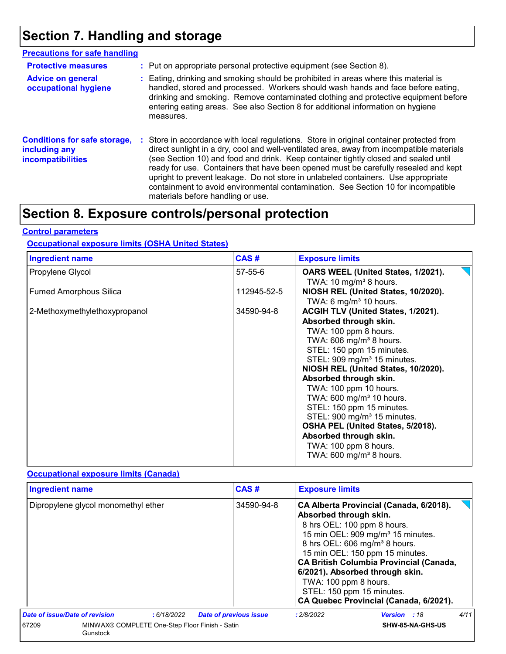## **Section 7. Handling and storage**

| <b>Precautions for safe handling</b>                                             |                                                                                                                                                                                                                                                                                                                                                                                                                                                                                                                                                                                    |
|----------------------------------------------------------------------------------|------------------------------------------------------------------------------------------------------------------------------------------------------------------------------------------------------------------------------------------------------------------------------------------------------------------------------------------------------------------------------------------------------------------------------------------------------------------------------------------------------------------------------------------------------------------------------------|
| <b>Protective measures</b>                                                       | : Put on appropriate personal protective equipment (see Section 8).                                                                                                                                                                                                                                                                                                                                                                                                                                                                                                                |
| <b>Advice on general</b><br>occupational hygiene                                 | : Eating, drinking and smoking should be prohibited in areas where this material is<br>handled, stored and processed. Workers should wash hands and face before eating,<br>drinking and smoking. Remove contaminated clothing and protective equipment before<br>entering eating areas. See also Section 8 for additional information on hygiene<br>measures.                                                                                                                                                                                                                      |
| <b>Conditions for safe storage,</b><br>including any<br><b>incompatibilities</b> | : Store in accordance with local regulations. Store in original container protected from<br>direct sunlight in a dry, cool and well-ventilated area, away from incompatible materials<br>(see Section 10) and food and drink. Keep container tightly closed and sealed until<br>ready for use. Containers that have been opened must be carefully resealed and kept<br>upright to prevent leakage. Do not store in unlabeled containers. Use appropriate<br>containment to avoid environmental contamination. See Section 10 for incompatible<br>materials before handling or use. |

### **Section 8. Exposure controls/personal protection**

#### **Control parameters**

#### **Occupational exposure limits (OSHA United States)**

| <b>Ingredient name</b>        | CAS#          | <b>Exposure limits</b>                  |
|-------------------------------|---------------|-----------------------------------------|
| Propylene Glycol              | $57 - 55 - 6$ | OARS WEEL (United States, 1/2021).      |
|                               |               | TWA: 10 mg/m <sup>3</sup> 8 hours.      |
| <b>Fumed Amorphous Silica</b> | 112945-52-5   | NIOSH REL (United States, 10/2020).     |
|                               |               | TWA: 6 mg/m <sup>3</sup> 10 hours.      |
| 2-Methoxymethylethoxypropanol | 34590-94-8    | ACGIH TLV (United States, 1/2021).      |
|                               |               | Absorbed through skin.                  |
|                               |               | TWA: 100 ppm 8 hours.                   |
|                               |               | TWA: $606$ mg/m <sup>3</sup> 8 hours.   |
|                               |               | STEL: 150 ppm 15 minutes.               |
|                               |               | STEL: 909 mg/m <sup>3</sup> 15 minutes. |
|                               |               | NIOSH REL (United States, 10/2020).     |
|                               |               | Absorbed through skin.                  |
|                               |               | TWA: 100 ppm 10 hours.                  |
|                               |               | TWA: $600 \text{ mg/m}^3$ 10 hours.     |
|                               |               | STEL: 150 ppm 15 minutes.               |
|                               |               | STEL: 900 mg/m <sup>3</sup> 15 minutes. |
|                               |               | OSHA PEL (United States, 5/2018).       |
|                               |               | Absorbed through skin.                  |
|                               |               | TWA: 100 ppm 8 hours.                   |
|                               |               | TWA: $600 \text{ mg/m}^3$ 8 hours.      |
|                               |               |                                         |

#### **Occupational exposure limits (Canada)**

| <b>Ingredient name</b>                                              |            | CAS#                          | <b>Exposure limits</b>                          |                                                                                                                                                                                                                                                                                                                                                                     |      |
|---------------------------------------------------------------------|------------|-------------------------------|-------------------------------------------------|---------------------------------------------------------------------------------------------------------------------------------------------------------------------------------------------------------------------------------------------------------------------------------------------------------------------------------------------------------------------|------|
| Dipropylene glycol monomethyl ether                                 |            | 34590-94-8                    | Absorbed through skin.<br>TWA: 100 ppm 8 hours. | CA Alberta Provincial (Canada, 6/2018).<br>8 hrs OEL: 100 ppm 8 hours.<br>15 min OEL: 909 mg/m <sup>3</sup> 15 minutes.<br>8 hrs OEL: 606 mg/m <sup>3</sup> 8 hours.<br>15 min OEL: 150 ppm 15 minutes.<br><b>CA British Columbia Provincial (Canada,</b><br>6/2021). Absorbed through skin.<br>STEL: 150 ppm 15 minutes.<br>CA Quebec Provincial (Canada, 6/2021). |      |
| Date of issue/Date of revision                                      | :6/18/2022 | <b>Date of previous issue</b> | : 2/8/2022                                      | <b>Version</b> : 18                                                                                                                                                                                                                                                                                                                                                 | 4/11 |
| 67209<br>MINWAX® COMPLETE One-Step Floor Finish - Satin<br>Gunstock |            | <b>SHW-85-NA-GHS-US</b>       |                                                 |                                                                                                                                                                                                                                                                                                                                                                     |      |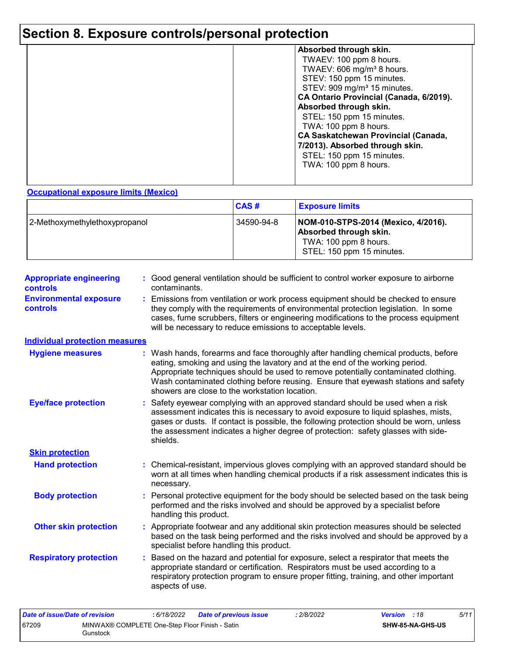## **Section 8. Exposure controls/personal protection**

| Absorbed through skin.                     |
|--------------------------------------------|
| TWAEV: 100 ppm 8 hours.                    |
|                                            |
| TWAEV: 606 mg/m <sup>3</sup> 8 hours.      |
| STEV: 150 ppm 15 minutes.                  |
| STEV: 909 mg/m <sup>3</sup> 15 minutes.    |
| CA Ontario Provincial (Canada, 6/2019).    |
| Absorbed through skin.                     |
| STEL: 150 ppm 15 minutes.                  |
| TWA: 100 ppm 8 hours.                      |
| <b>CA Saskatchewan Provincial (Canada,</b> |
|                                            |
| 7/2013). Absorbed through skin.            |
| STEL: 150 ppm 15 minutes.                  |
| TWA: 100 ppm 8 hours.                      |
|                                            |
|                                            |

#### **Occupational exposure limits (Mexico)**

|                               | CAS#       | <b>Exposure limits</b>                                                                                              |
|-------------------------------|------------|---------------------------------------------------------------------------------------------------------------------|
| 2-Methoxymethylethoxypropanol | 34590-94-8 | NOM-010-STPS-2014 (Mexico, 4/2016).<br>Absorbed through skin.<br>TWA: 100 ppm 8 hours.<br>STEL: 150 ppm 15 minutes. |

| <b>Appropriate engineering</b><br><b>controls</b> | : Good general ventilation should be sufficient to control worker exposure to airborne<br>contaminants.                                                                                                                                                                                                                                                                                         |
|---------------------------------------------------|-------------------------------------------------------------------------------------------------------------------------------------------------------------------------------------------------------------------------------------------------------------------------------------------------------------------------------------------------------------------------------------------------|
| <b>Environmental exposure</b><br><b>controls</b>  | Emissions from ventilation or work process equipment should be checked to ensure<br>they comply with the requirements of environmental protection legislation. In some<br>cases, fume scrubbers, filters or engineering modifications to the process equipment<br>will be necessary to reduce emissions to acceptable levels.                                                                   |
| <b>Individual protection measures</b>             |                                                                                                                                                                                                                                                                                                                                                                                                 |
| <b>Hygiene measures</b>                           | Wash hands, forearms and face thoroughly after handling chemical products, before<br>eating, smoking and using the lavatory and at the end of the working period.<br>Appropriate techniques should be used to remove potentially contaminated clothing.<br>Wash contaminated clothing before reusing. Ensure that eyewash stations and safety<br>showers are close to the workstation location. |
| <b>Eye/face protection</b>                        | Safety eyewear complying with an approved standard should be used when a risk<br>assessment indicates this is necessary to avoid exposure to liquid splashes, mists,<br>gases or dusts. If contact is possible, the following protection should be worn, unless<br>the assessment indicates a higher degree of protection: safety glasses with side-<br>shields.                                |
| <b>Skin protection</b>                            |                                                                                                                                                                                                                                                                                                                                                                                                 |
| <b>Hand protection</b>                            | : Chemical-resistant, impervious gloves complying with an approved standard should be<br>worn at all times when handling chemical products if a risk assessment indicates this is<br>necessary.                                                                                                                                                                                                 |
| <b>Body protection</b>                            | Personal protective equipment for the body should be selected based on the task being<br>performed and the risks involved and should be approved by a specialist before<br>handling this product.                                                                                                                                                                                               |
| <b>Other skin protection</b>                      | : Appropriate footwear and any additional skin protection measures should be selected<br>based on the task being performed and the risks involved and should be approved by a<br>specialist before handling this product.                                                                                                                                                                       |
| <b>Respiratory protection</b>                     | Based on the hazard and potential for exposure, select a respirator that meets the<br>appropriate standard or certification. Respirators must be used according to a<br>respiratory protection program to ensure proper fitting, training, and other important<br>aspects of use.                                                                                                               |

| Date of issue/Date of revision |                                                            | : 6/18/2022 | <b>Date of previous issue</b> | 2/8/2022 | <b>Version</b> : 18 |                         | 5/11 |
|--------------------------------|------------------------------------------------------------|-------------|-------------------------------|----------|---------------------|-------------------------|------|
| 67209                          | MINWAX® COMPLETE One-Step Floor Finish - Satin<br>Gunstock |             |                               |          |                     | <b>SHW-85-NA-GHS-US</b> |      |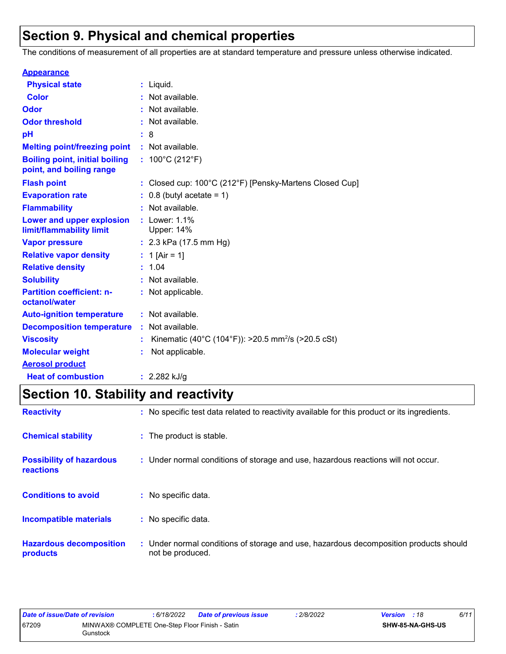## **Section 9. Physical and chemical properties**

The conditions of measurement of all properties are at standard temperature and pressure unless otherwise indicated.

| <b>Appearance</b>                                                 |                                                                |
|-------------------------------------------------------------------|----------------------------------------------------------------|
| <b>Physical state</b>                                             | $:$ Liquid.                                                    |
| <b>Color</b>                                                      | Not available.                                                 |
| Odor                                                              | Not available.                                                 |
| <b>Odor threshold</b>                                             | Not available.                                                 |
| pH                                                                | - 8                                                            |
| <b>Melting point/freezing point</b>                               | : Not available.                                               |
| <b>Boiling point, initial boiling</b><br>point, and boiling range | : $100^{\circ}$ C (212 $^{\circ}$ F)                           |
| <b>Flash point</b>                                                | : Closed cup: 100°C (212°F) [Pensky-Martens Closed Cup]        |
| <b>Evaporation rate</b>                                           | $0.8$ (butyl acetate = 1)                                      |
| <b>Flammability</b>                                               | Not available.                                                 |
| Lower and upper explosion<br>limit/flammability limit             | : Lower: 1.1%<br>Upper: 14%                                    |
| <b>Vapor pressure</b>                                             | : $2.3$ kPa (17.5 mm Hg)                                       |
| <b>Relative vapor density</b>                                     | : 1 [Air = 1]                                                  |
| <b>Relative density</b>                                           | : 1.04                                                         |
| <b>Solubility</b>                                                 | Not available.                                                 |
| <b>Partition coefficient: n-</b><br>octanol/water                 | : Not applicable.                                              |
| <b>Auto-ignition temperature</b>                                  | : Not available.                                               |
| <b>Decomposition temperature</b>                                  | : Not available.                                               |
| <b>Viscosity</b>                                                  | Kinematic (40°C (104°F)): >20.5 mm <sup>2</sup> /s (>20.5 cSt) |
| <b>Molecular weight</b>                                           | Not applicable.                                                |
| <b>Aerosol product</b>                                            |                                                                |
| <b>Heat of combustion</b>                                         | : $2.282$ kJ/g                                                 |

## **Section 10. Stability and reactivity**

| <b>Reactivity</b>                            | : No specific test data related to reactivity available for this product or its ingredients.              |
|----------------------------------------------|-----------------------------------------------------------------------------------------------------------|
| <b>Chemical stability</b>                    | : The product is stable.                                                                                  |
| <b>Possibility of hazardous</b><br>reactions | : Under normal conditions of storage and use, hazardous reactions will not occur.                         |
| <b>Conditions to avoid</b>                   | : No specific data.                                                                                       |
| <b>Incompatible materials</b>                | : No specific data.                                                                                       |
| <b>Hazardous decomposition</b><br>products   | : Under normal conditions of storage and use, hazardous decomposition products should<br>not be produced. |

| Date of issue/Date of revision |                                                            | : 6/18/2022 | <b>Date of previous issue</b> | 2/8/2022 | <b>Version</b> : 18 |                         | 6/11 |
|--------------------------------|------------------------------------------------------------|-------------|-------------------------------|----------|---------------------|-------------------------|------|
| 67209                          | MINWAX® COMPLETE One-Step Floor Finish - Satin<br>Gunstock |             |                               |          |                     | <b>SHW-85-NA-GHS-US</b> |      |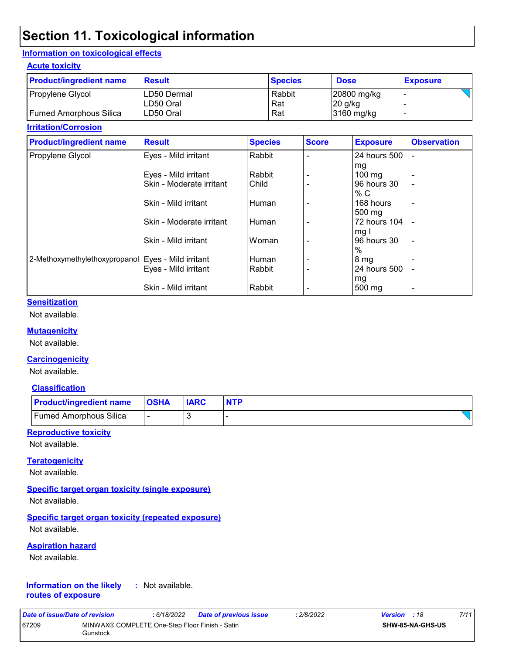### **Section 11. Toxicological information**

#### **Information on toxicological effects**

#### **Acute toxicity**

| <b>Product/ingredient name</b> | <b>Result</b>              | <b>Species</b> | <b>Dose</b>              | <b>Exposure</b> |
|--------------------------------|----------------------------|----------------|--------------------------|-----------------|
| Propylene Glycol               | ILD50 Dermal<br>ILD50 Oral | Rabbit<br>Rat  | 20800 mg/kg<br>$20$ g/kg |                 |
| Fumed Amorphous Silica         | ILD50 Oral                 | Rat            | 3160 mg/kg               |                 |

#### **Irritation/Corrosion**

| <b>Product/ingredient name</b>                       | <b>Result</b>            | <b>Species</b> | <b>Score</b> | <b>Exposure</b>  | <b>Observation</b> |
|------------------------------------------------------|--------------------------|----------------|--------------|------------------|--------------------|
| Propylene Glycol                                     | Eyes - Mild irritant     | Rabbit         |              | 24 hours 500     |                    |
|                                                      |                          |                |              | mg               |                    |
|                                                      | Eyes - Mild irritant     | Rabbit         |              | $100 \text{ mg}$ |                    |
|                                                      | Skin - Moderate irritant | Child          |              | 96 hours 30      |                    |
|                                                      |                          |                |              | % C              |                    |
|                                                      | Skin - Mild irritant     | Human          |              | 168 hours        | $\blacksquare$     |
|                                                      |                          |                |              | 500 mg           |                    |
|                                                      | Skin - Moderate irritant | Human          |              | 72 hours 104     |                    |
|                                                      |                          |                |              | mg I             |                    |
|                                                      | Skin - Mild irritant     | Woman          |              | 96 hours 30      | $\blacksquare$     |
|                                                      |                          |                |              | $\%$             |                    |
| 2-Methoxymethylethoxypropanol   Eyes - Mild irritant |                          | Human          |              | 8 mg             |                    |
|                                                      | Eyes - Mild irritant     | Rabbit         |              | 24 hours 500     |                    |
|                                                      |                          |                |              | mg               |                    |
|                                                      | Skin - Mild irritant     | Rabbit         |              | 500 mg           |                    |

#### **Sensitization**

Not available.

#### **Mutagenicity**

Not available.

#### **Carcinogenicity**

Not available.

#### **Classification**

| <b>Product/ingredient name OSHA</b> | <b>IARC</b> |  |
|-------------------------------------|-------------|--|
| Fumed Amorphous Silica              |             |  |

#### **Reproductive toxicity**

Not available.

#### **Teratogenicity**

Not available.

#### **Specific target organ toxicity (single exposure)**

Not available.

#### **Specific target organ toxicity (repeated exposure)**

Not available.

#### **Aspiration hazard**

Not available.

#### **Information on the likely routes of exposure :** Not available.

| Date of issue/Date of revision |                                                            | : 6/18/2022 | Date of previous issue | : 2/8/2022 | <b>Version</b> : 18 |                         | 7/11 |
|--------------------------------|------------------------------------------------------------|-------------|------------------------|------------|---------------------|-------------------------|------|
| 67209                          | MINWAX® COMPLETE One-Step Floor Finish - Satin<br>Gunstock |             |                        |            |                     | <b>SHW-85-NA-GHS-US</b> |      |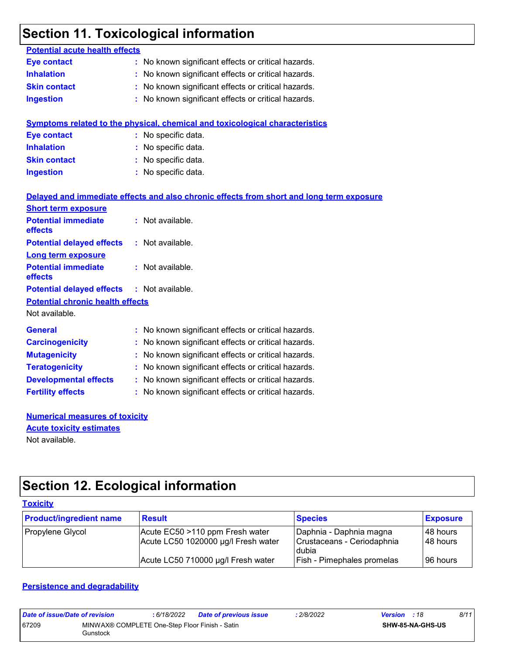## **Section 11. Toxicological information**

| <b>Potential acute health effects</b>   |                                                                                          |
|-----------------------------------------|------------------------------------------------------------------------------------------|
| <b>Eye contact</b>                      | : No known significant effects or critical hazards.                                      |
| <b>Inhalation</b>                       | No known significant effects or critical hazards.                                        |
| <b>Skin contact</b>                     | No known significant effects or critical hazards.                                        |
| <b>Ingestion</b>                        | No known significant effects or critical hazards.                                        |
|                                         |                                                                                          |
|                                         | Symptoms related to the physical, chemical and toxicological characteristics             |
| <b>Eye contact</b>                      | : No specific data.                                                                      |
| <b>Inhalation</b>                       | No specific data.                                                                        |
| <b>Skin contact</b>                     | No specific data.                                                                        |
| <b>Ingestion</b>                        | No specific data.                                                                        |
|                                         |                                                                                          |
|                                         | Delayed and immediate effects and also chronic effects from short and long term exposure |
| <b>Short term exposure</b>              |                                                                                          |
| <b>Potential immediate</b>              | : Not available.                                                                         |
| effects                                 |                                                                                          |
| <b>Potential delayed effects</b>        | : Not available.                                                                         |
| <b>Long term exposure</b>               |                                                                                          |
| <b>Potential immediate</b><br>effects   | : Not available.                                                                         |
| <b>Potential delayed effects</b>        | : Not available.                                                                         |
| <b>Potential chronic health effects</b> |                                                                                          |
| Not available.                          |                                                                                          |
|                                         |                                                                                          |
| <b>General</b>                          | : No known significant effects or critical hazards.                                      |
| <b>Carcinogenicity</b>                  | No known significant effects or critical hazards.                                        |
| <b>Mutagenicity</b>                     | No known significant effects or critical hazards.                                        |
| <b>Teratogenicity</b>                   | No known significant effects or critical hazards.                                        |
| <b>Developmental effects</b>            | No known significant effects or critical hazards.                                        |
| <b>Fertility effects</b>                | : No known significant effects or critical hazards.                                      |
|                                         |                                                                                          |

#### **Numerical measures of toxicity** Not available. **Acute toxicity estimates**

## **Section 12. Ecological information**

| <b>Toxicity</b>                |                                                                        |                                                                |                        |
|--------------------------------|------------------------------------------------------------------------|----------------------------------------------------------------|------------------------|
| <b>Product/ingredient name</b> | <b>Result</b>                                                          | <b>Species</b>                                                 | <b>Exposure</b>        |
| Propylene Glycol               | Acute EC50 >110 ppm Fresh water<br>Acute LC50 1020000 µg/l Fresh water | Daphnia - Daphnia magna<br>Crustaceans - Ceriodaphnia<br>dubia | I48 hours<br>I48 hours |
|                                | Acute LC50 710000 µg/l Fresh water                                     | <b>Fish - Pimephales promelas</b>                              | 96 hours               |

#### **Persistence and degradability**

| Date of issue/Date of revision |                                                            | : 6/18/2022 | <b>Date of previous issue</b> | : 2/8/2022 | <b>Version</b> : 18     | 8/11 |
|--------------------------------|------------------------------------------------------------|-------------|-------------------------------|------------|-------------------------|------|
| 67209                          | MINWAX® COMPLETE One-Step Floor Finish - Satin<br>Gunstock |             |                               |            | <b>SHW-85-NA-GHS-US</b> |      |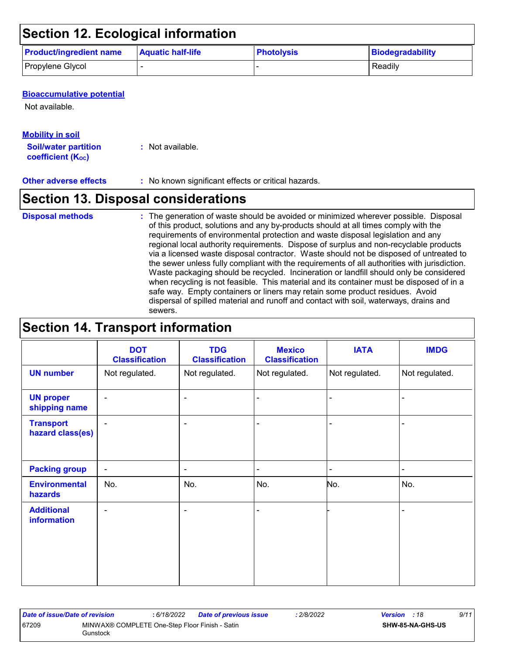## **Section 12. Ecological information**

| <b>Product/ingredient name</b> | <b>Aquatic half-life</b> | <b>Photolysis</b> | Biodegradability |
|--------------------------------|--------------------------|-------------------|------------------|
| Propylene Glycol               |                          |                   | Readily          |

#### **Bioaccumulative potential**

Not available.

#### **Mobility in soil**

**Soil/water partition coefficient (Koc)** 

**:** Not available.

#### **Other adverse effects** : No known significant effects or critical hazards.

### **Section 13. Disposal considerations**

#### **Disposal methods :**

The generation of waste should be avoided or minimized wherever possible. Disposal of this product, solutions and any by-products should at all times comply with the requirements of environmental protection and waste disposal legislation and any regional local authority requirements. Dispose of surplus and non-recyclable products via a licensed waste disposal contractor. Waste should not be disposed of untreated to the sewer unless fully compliant with the requirements of all authorities with jurisdiction. Waste packaging should be recycled. Incineration or landfill should only be considered when recycling is not feasible. This material and its container must be disposed of in a safe way. Empty containers or liners may retain some product residues. Avoid dispersal of spilled material and runoff and contact with soil, waterways, drains and sewers.

### **Section 14. Transport information**

|                                         | <b>DOT</b><br><b>Classification</b> | <b>TDG</b><br><b>Classification</b> | <b>Mexico</b><br><b>Classification</b> | <b>IATA</b>    | <b>IMDG</b>    |
|-----------------------------------------|-------------------------------------|-------------------------------------|----------------------------------------|----------------|----------------|
| <b>UN number</b>                        | Not regulated.                      | Not regulated.                      | Not regulated.                         | Not regulated. | Not regulated. |
| <b>UN proper</b><br>shipping name       | $\blacksquare$                      | $\blacksquare$                      | $\blacksquare$                         |                |                |
| <b>Transport</b><br>hazard class(es)    | $\blacksquare$                      | $\overline{\phantom{a}}$            |                                        |                |                |
| <b>Packing group</b>                    | $\blacksquare$                      | $\overline{\phantom{a}}$            | $\blacksquare$                         | ۰              | $\blacksquare$ |
| <b>Environmental</b><br>hazards         | No.                                 | No.                                 | No.                                    | No.            | No.            |
| <b>Additional</b><br><b>information</b> | $\blacksquare$                      | $\overline{\phantom{0}}$            |                                        |                |                |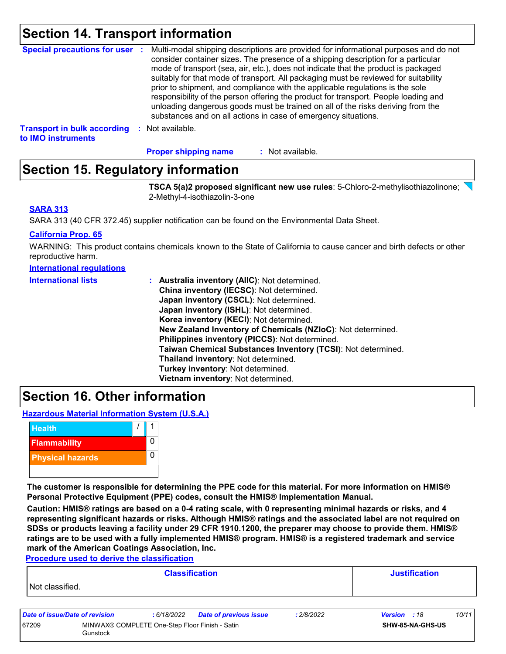### **Section 14. Transport information**

| <b>Special precautions for user :</b>                    | Multi-modal shipping descriptions are provided for informational purposes and do not<br>consider container sizes. The presence of a shipping description for a particular<br>mode of transport (sea, air, etc.), does not indicate that the product is packaged<br>suitably for that mode of transport. All packaging must be reviewed for suitability<br>prior to shipment, and compliance with the applicable regulations is the sole<br>responsibility of the person offering the product for transport. People loading and<br>unloading dangerous goods must be trained on all of the risks deriving from the<br>substances and on all actions in case of emergency situations. |
|----------------------------------------------------------|-------------------------------------------------------------------------------------------------------------------------------------------------------------------------------------------------------------------------------------------------------------------------------------------------------------------------------------------------------------------------------------------------------------------------------------------------------------------------------------------------------------------------------------------------------------------------------------------------------------------------------------------------------------------------------------|
| <b>Transport in bulk according</b><br>to IMO instruments | : Not available.                                                                                                                                                                                                                                                                                                                                                                                                                                                                                                                                                                                                                                                                    |

: Not available. **Proper shipping name :**

### **Section 15. Regulatory information**

**TSCA 5(a)2 proposed significant new use rules**: 5-Chloro-2-methylisothiazolinone; 2-Methyl-4-isothiazolin-3-one

#### **SARA 313**

SARA 313 (40 CFR 372.45) supplier notification can be found on the Environmental Data Sheet.

#### **California Prop. 65**

WARNING: This product contains chemicals known to the State of California to cause cancer and birth defects or other reproductive harm.

| <b>International requiations</b> |
|----------------------------------|
|----------------------------------|

| <b>International lists</b> | : Australia inventory (AIIC): Not determined.                |
|----------------------------|--------------------------------------------------------------|
|                            | China inventory (IECSC): Not determined.                     |
|                            | Japan inventory (CSCL): Not determined.                      |
|                            | Japan inventory (ISHL): Not determined.                      |
|                            | Korea inventory (KECI): Not determined.                      |
|                            | New Zealand Inventory of Chemicals (NZIoC): Not determined.  |
|                            | Philippines inventory (PICCS): Not determined.               |
|                            | Taiwan Chemical Substances Inventory (TCSI): Not determined. |
|                            | Thailand inventory: Not determined.                          |
|                            | Turkey inventory: Not determined.                            |
|                            | Vietnam inventory: Not determined.                           |

### **Section 16. Other information**

**Hazardous Material Information System (U.S.A.)**



**The customer is responsible for determining the PPE code for this material. For more information on HMIS® Personal Protective Equipment (PPE) codes, consult the HMIS® Implementation Manual.**

**Caution: HMIS® ratings are based on a 0-4 rating scale, with 0 representing minimal hazards or risks, and 4 representing significant hazards or risks. Although HMIS® ratings and the associated label are not required on SDSs or products leaving a facility under 29 CFR 1910.1200, the preparer may choose to provide them. HMIS® ratings are to be used with a fully implemented HMIS® program. HMIS® is a registered trademark and service mark of the American Coatings Association, Inc.**

**Procedure used to derive the classification**

|                 | <b>Classification</b> | <b>Justification</b> |
|-----------------|-----------------------|----------------------|
| Not classified. |                       |                      |

| Date of issue/Date of revision |                                                            | : 6/18/2022 | <b>Date of previous issue</b> | .2/8/2022 | <b>Version</b> : 18 |                         | 10/11 |
|--------------------------------|------------------------------------------------------------|-------------|-------------------------------|-----------|---------------------|-------------------------|-------|
| 67209                          | MINWAX® COMPLETE One-Step Floor Finish - Satin<br>Gunstock |             |                               |           |                     | <b>SHW-85-NA-GHS-US</b> |       |